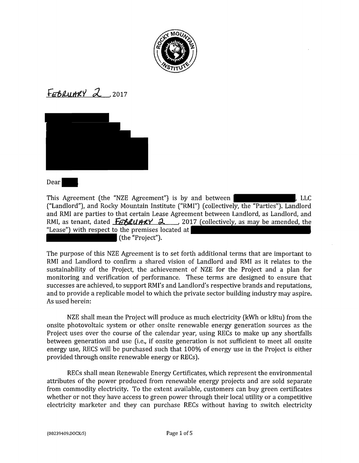

FEBRUARY 2,2017



#### Dear

This Agreement (the "NZE Agreement") is by and between  $\blacksquare$ , LLC ("Landlord"), and Rocky Mountain Institute ("RMI") (collectively, the "Parties"). Landlord and RMI are parties to that certain Lease Agreement between Landlord, as Landlord, and RMI, as tenant, dated **Fet, UMAY 2**., 2017 (collectively, as may be amended, the "Lease") with respect to the premises located at (the "Project").

The purpose of this NZE Agreement is to set forth additional terms that are important to RMI and Landlord to confirm a shared vision of Landlord and RMI as it relates to the sustainability of the Project, the achievement of NZE for the Project and a plan for monitoring and verification of performance. These terms are designed to ensure that successes are achieved, to support RMI's and Landlord's respective brands and reputations, and to provide a replicable model to which the private sector building industry may aspire. As used herein:

NZE shall mean the Project will produce as much electricity (kWh or kBtu) from the onsite photovoltaic system or other onsite renewable energy generation sources as the Project uses over the course of the calendar year, using RECs to make up any shortfalls between generation and use (i.e., if onsite generation is not sufficient to meet all onsite energy use, RECS will be purchased such that 100% of energy use in the Project is either provided through onsite renewable energy or RECs).

RECs shall mean Renewable Energy Certificates, which represent the environmental attributes of the power produced from renewable energy projects and are sold separate from commodity electricity. To the extent available, customers can buy green certificates whether or not they have access to green power through their local utility or a competitive electricity marketer and they can purchase RECs without having to switch electricity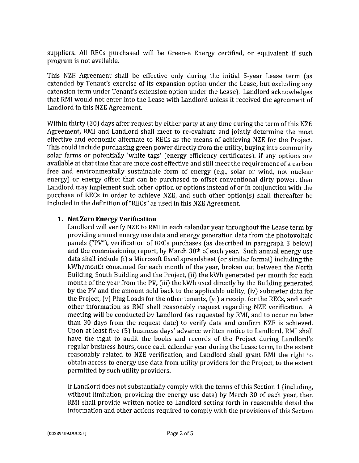suppliers. All RECs purchased will be Green-e Energy certified, or equivalent if such program is not available.

This NZE Agreement shall be effective only during the initial 5-year Lease term (as extended by Tenant's exercise of its expansion option under the Lease, but excluding any extension term under Tenant's extension option under the Lease). Landlord acknowledges that RMI would not enter into the Lease with Landlord unless it received the agreement of Landlord in this NZE Agreement.

Within thirty (30) days after request by either party at any time during the term of this NZE Agreement, RMI and Landlord shall meet to re-evaluate and jointly determine the most effective and economic alternate to RECs as the means of achieving NZE for the Project. This could include purchasing green power directly from the utility, buying into community solar farms or potentially 'white tags' (energy efficiency certificates). If any options are available at that time that are more cost effective and still meet the requirement of a carbon free and environmentally sustainable form of energy (e.g., solar or wind, not nuclear energy) or energy offset that can be purchased to offset conventional dirty power, then Landlord may implement such other option or options instead of or in conjunction with the purchase of RECs in order to achieve NZE, and such other option(s) shall thereafter be included in the definition of "RECs" as used in this NZE Agreement.

# **1. Net Zero Energy Verification**

Landlord will verify NZE to RMI in each calendar year throughout the Lease term by providing annual energy use data and energy generation data from the photovoltaic panels ("PV"), verification of RECs purchases (as described in paragraph 3 below) and the commissioning report, by March 30th of each year. Such annual energy use data shall include (i) a Microsoft Excel spreadsheet (or similar format) including the kWh/month consumed for each month of the year, broken out between the North Building, South Building and the Project, (ii) the kWh generated per month for each month of the year from the PV, (iii) the kWh used directly by the Building generated by the PV and the amount sold back to the applicable utility, (iv) submeter data for the Project, (v) Plug Loads for the other tenants, (vi) a receipt for the RECs, and such other information as RMI shall reasonably request regarding NZE verification. A meeting will be conducted by Landlord ( as requested by RMI, and to occur no later than 30 days from the request date) to verify data and confirm NZE is achieved. Upon at least five (5) business days' advance written notice to Landlord, RMI shall have the right to audit the books and records of the Project during Landlord's regular business hours, once each calendar year during the Lease term, to the extent reasonably related to NZE verification, and Landlord shall grant RMI the right to obtain access to energy use data from utility providers for the Project, to the extent permitted by such utility providers.

If Landlord does not substantially comply with the terms of this Section 1 (including, without limitation, providing the energy use data) by March 30 of each year, then RMI shall provide written notice to Landlord setting forth in reasonable detail the information and other actions required to comply with the provisions of this Section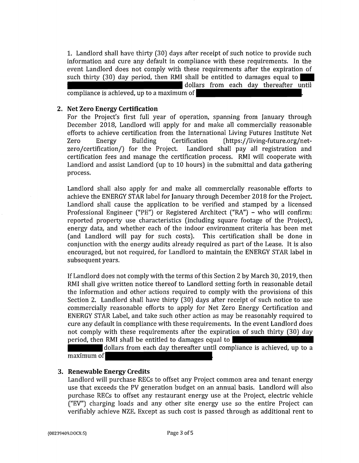1. Landlord shall have thirty (30) days after receipt of such notice to provide such information and cure any default in compliance with these requirements. In the event Landlord does not comply with these requirements after the expiration of such thirty (30) day period, then RMI shall be entitled to damages equal to dollars from each day thereafter until

compliance is achieved, up to a maximum of

### **2. Net Zero Energy Certification**

For the Project's first full year of operation, spanning from January through December 2018, Landlord will apply for and make all commercially reasonable efforts to achieve certification from the International Living Futures Institute Net Zero Energy Building Certification (https:/ /living-future.org/netzero/certification/) for the Project. Landlord shall pay all registration and certification fees and manage the certification process. RMI will cooperate with Landlord and assist Landlord (up to 10 hours) in the submittal and data gathering process.

Landlord shall also apply for and make all commercially reasonable efforts to achieve the ENERGY STAR label for January through December 2018 for the Project. Landlord shall cause the application to be verified and stamped by a licensed Professional Engineer ("PE") or Registered Architect ("RA") - who will confirm: reported property use characteristics (including square footage of the Project), energy data, and whether each of the indoor environment criteria has been met (and Landlord will pay for such costs). This certification shall be done in conjunction with the energy audits already required as part of the Lease. It is also encouraged, but not required, for Landlord to maintain the ENERGY STAR label in subsequent years.

If Landlord does not comply with the terms of this Section 2 by March 30, 2019, then RMI shall give written notice thereof to Landlord setting forth in reasonable detail the information and other actions required to comply with the provisions of this Section 2. Landlord shall have thirty (30) days after receipt of such notice to use commercially reasonable efforts to apply for Net Zero Energy Certification and ENERGY STAR Label, and take such other action as may be reasonably required to cure any default in compliance with these requirements. In the event Landlord does not comply with these requirements after the expiration of such thirty (30) day period, then RMI shall be entitled to damages equal to

dollars from each day thereafter until compliance is achieved, up to a maximum of

## 3. **Renewable Energy Credits**

Landlord will purchase RECs to offset any Project common area and tenant energy use that exceeds the PV generation budget on an annual basis. Landlord will also purchase RECs to offset any restaurant energy use at the Project, electric vehicle ("EV") charging loads and any other site energy use so the entire Project can verifiably achieve NZE. Except as such cost is passed through as additional rent to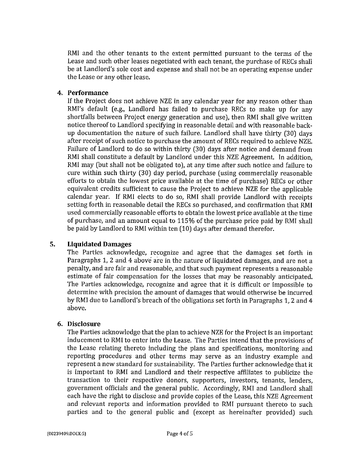RMI and the other tenants to the extent permitted pursuant to the terms of the Lease and such other leases negotiated with each tenant, the purchase of RECs shall be at Landlord's sole cost and expense and shall not be an operating expense under the Lease or any other lease.

## **4. Performance**

If the Project does not achieve NZE in any calendar year for any reason other than RMI's default (e.g., Landlord has failed to purchase RECs to make up for any shortfalls between Project energy generation and use), then RMI shall give written notice thereof to Landlord specifying in reasonable detail and with reasonable backup documentation the nature of such failure. Landlord shall have thirty (30) days after receipt of such notice to purchase the amount of RECs required to achieve NZE. Failure of Landlord to do so within thirty (30) days after notice and demand from RMI shall constitute a default by Landlord under this NZE Agreement. In addition, RMI may (but shall not be obligated to), at any time after such notice and failure to cure within such thirty (30) day period, purchase (using commercially reasonable efforts to obtain the lowest price available at the time of purchase) RECs or other equivalent credits sufficient to cause the Project to achieve NZE for the applicable calendar year. If RMI elects to do so, RMI shall provide Landlord with receipts setting forth in reasonable detail the RECs so purchased, and confirmation that RMI used commercially reasonable efforts to obtain the lowest price available at the time of purchase, and an amount equal to 115% of the purchase price paid by RMI shall be paid by Landlord to RMI within ten (10) days after demand therefor.

## **5. Liquidated Damages**

The Parties acknowledge, recognize and agree that the damages set forth in Paragraphs 1, 2 and 4 above are in the nature of liquidated damages, and are not a penalty, and are fair and reasonable, and that such payment represents a reasonable estimate of fair compensation for the losses that may be reasonably anticipated. The Parties acknowledge, recognize and agree that it is difficult or impossible to determine with precision the amount of damages that would otherwise be incurred by RMI due to Landlord's breach of the obligations set forth in Paragraphs 1, 2 and 4 above.

#### **6. Disclosure**

The Parties acknowledge that the plan to achieve NZE for the Project is an important inducement to RMI to enter into the Lease. The Parties intend that the provisions of the Lease relating thereto including the plans and specifications, monitoring and reporting procedures and other terms may serve as an industry example and represent a new standard for sustainability. The Parties further acknowledge that it is important to RMI and Landlord and their respective affiliates to publicize the transaction to their respective donors, supporters, investors, tenants, lenders, government officials and the general public. Accordingly, RMI and Landlord shall each have the right to disclose and provide copies of the Lease, this NZE Agreement and relevant reports and information provided to RMI pursuant thereto to such parties and to the general public and (except as hereinafter provided) such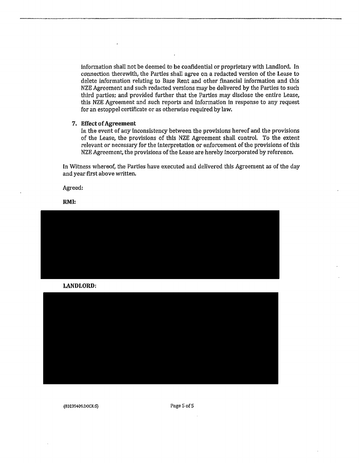information shall not be deemed to be confidential or proprietary with Landlord. In ccmnection therewith, the Parties shall agree on a redacted version of the Lease to delete information relating to Base Rent and other financial information and this NZE Agreement and such redacted versions may be delivered by the Parties to such third parties; and provided further that the Parties may disclose the entire Lease, this NZE Agreement and such reports and information in response to any request for an estoppel certificate or as otherwise required by law.

#### 7, Effect of Agreement

In the event of any Inconsistency between the provisions hereof and the provisions of the Lease, the provisions of this NZE Agreement shall control. To the extent relevant or necessary for the interpretation or enforcement of the provisions of this NZE Agreement, the provisions of the Lease are hereby incorporated by reference,

In Witness whereof, the Parties have executed and delivered this Agreement as of the day and year first above written.

Agreed:

**RMI:** 



**LANDLORD:** 



{00239409,DOCX:S} Paga5of5